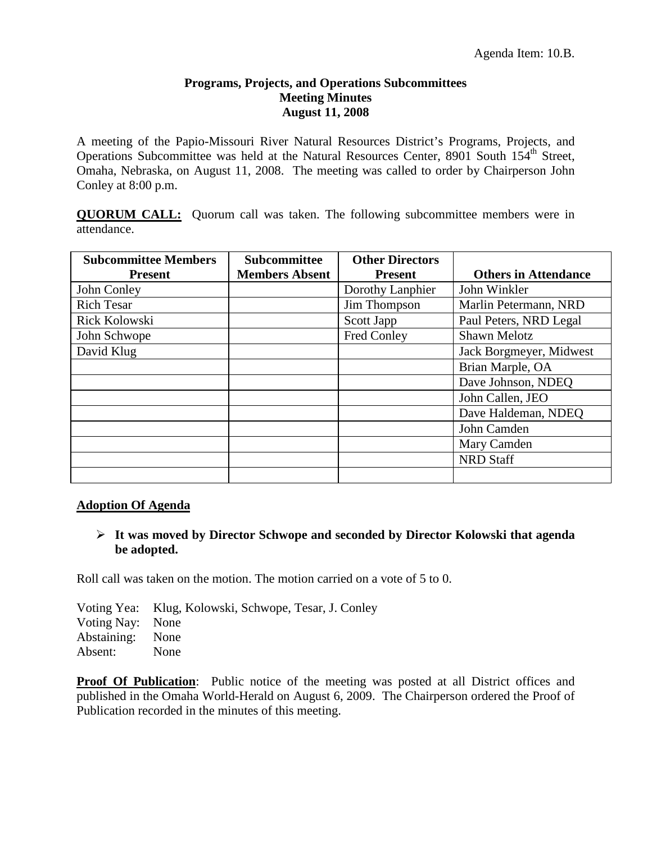#### **Programs, Projects, and Operations Subcommittees Meeting Minutes August 11, 2008**

A meeting of the Papio-Missouri River Natural Resources District's Programs, Projects, and Operations Subcommittee was held at the Natural Resources Center, 8901 South 154<sup>th</sup> Street, Omaha, Nebraska, on August 11, 2008. The meeting was called to order by Chairperson John Conley at 8:00 p.m.

**QUORUM CALL:** Quorum call was taken. The following subcommittee members were in attendance.

| <b>Subcommittee Members</b> | <b>Subcommittee</b>   | <b>Other Directors</b> |                             |
|-----------------------------|-----------------------|------------------------|-----------------------------|
| <b>Present</b>              | <b>Members Absent</b> | <b>Present</b>         | <b>Others in Attendance</b> |
| John Conley                 |                       | Dorothy Lanphier       | John Winkler                |
| <b>Rich Tesar</b>           |                       | Jim Thompson           | Marlin Petermann, NRD       |
| Rick Kolowski               |                       | Scott Japp             | Paul Peters, NRD Legal      |
| John Schwope                |                       | Fred Conley            | <b>Shawn Melotz</b>         |
| David Klug                  |                       |                        | Jack Borgmeyer, Midwest     |
|                             |                       |                        | Brian Marple, OA            |
|                             |                       |                        | Dave Johnson, NDEQ          |
|                             |                       |                        | John Callen, JEO            |
|                             |                       |                        | Dave Haldeman, NDEO         |
|                             |                       |                        | John Camden                 |
|                             |                       |                        | Mary Camden                 |
|                             |                       |                        | <b>NRD</b> Staff            |
|                             |                       |                        |                             |

#### **Adoption Of Agenda**

### **It was moved by Director Schwope and seconded by Director Kolowski that agenda be adopted.**

Roll call was taken on the motion. The motion carried on a vote of 5 to 0.

Voting Yea: Klug, Kolowski, Schwope, Tesar, J. Conley Voting Nay: None Abstaining: None Absent: None

**Proof Of Publication:** Public notice of the meeting was posted at all District offices and published in the Omaha World-Herald on August 6, 2009. The Chairperson ordered the Proof of Publication recorded in the minutes of this meeting.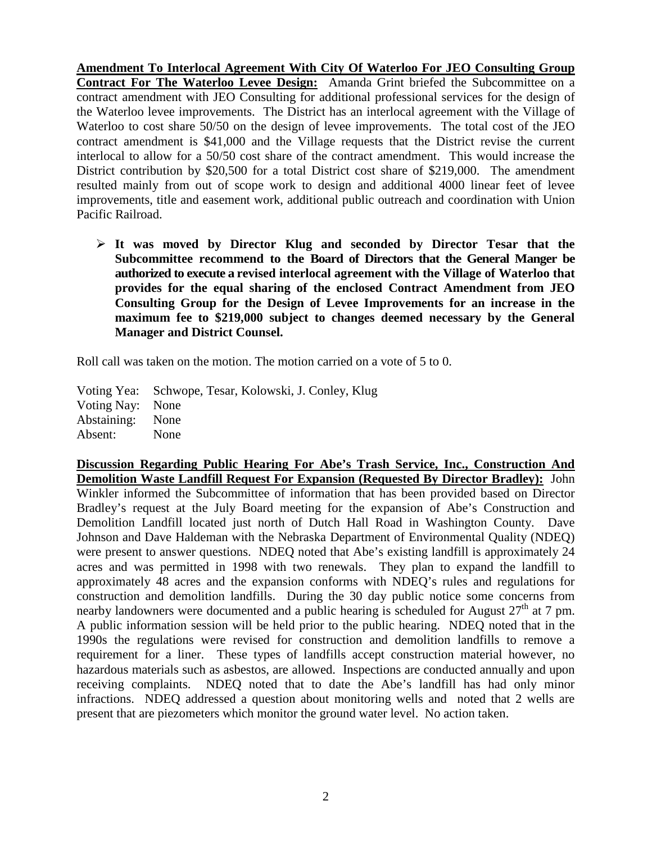**Amendment To Interlocal Agreement With City Of Waterloo For JEO Consulting Group Contract For The Waterloo Levee Design:** Amanda Grint briefed the Subcommittee on a contract amendment with JEO Consulting for additional professional services for the design of the Waterloo levee improvements. The District has an interlocal agreement with the Village of Waterloo to cost share 50/50 on the design of levee improvements. The total cost of the JEO contract amendment is \$41,000 and the Village requests that the District revise the current interlocal to allow for a 50/50 cost share of the contract amendment. This would increase the District contribution by \$20,500 for a total District cost share of \$219,000. The amendment resulted mainly from out of scope work to design and additional 4000 linear feet of levee improvements, title and easement work, additional public outreach and coordination with Union Pacific Railroad.

 **It was moved by Director Klug and seconded by Director Tesar that the Subcommittee recommend to the Board of Directors that the General Manger be authorized to execute a revised interlocal agreement with the Village of Waterloo that provides for the equal sharing of the enclosed Contract Amendment from JEO Consulting Group for the Design of Levee Improvements for an increase in the maximum fee to \$219,000 subject to changes deemed necessary by the General Manager and District Counsel.** 

Roll call was taken on the motion. The motion carried on a vote of 5 to 0.

Voting Yea: Schwope, Tesar, Kolowski, J. Conley, Klug Voting Nay: None Abstaining: None Absent: None

**Discussion Regarding Public Hearing For Abe's Trash Service, Inc., Construction And Demolition Waste Landfill Request For Expansion (Requested By Director Bradley):** John Winkler informed the Subcommittee of information that has been provided based on Director Bradley's request at the July Board meeting for the expansion of Abe's Construction and Demolition Landfill located just north of Dutch Hall Road in Washington County. Dave Johnson and Dave Haldeman with the Nebraska Department of Environmental Quality (NDEQ) were present to answer questions. NDEQ noted that Abe's existing landfill is approximately 24 acres and was permitted in 1998 with two renewals. They plan to expand the landfill to approximately 48 acres and the expansion conforms with NDEQ's rules and regulations for construction and demolition landfills. During the 30 day public notice some concerns from nearby landowners were documented and a public hearing is scheduled for August  $27<sup>th</sup>$  at 7 pm. A public information session will be held prior to the public hearing. NDEQ noted that in the 1990s the regulations were revised for construction and demolition landfills to remove a requirement for a liner. These types of landfills accept construction material however, no hazardous materials such as asbestos, are allowed. Inspections are conducted annually and upon receiving complaints. NDEQ noted that to date the Abe's landfill has had only minor infractions. NDEQ addressed a question about monitoring wells and noted that 2 wells are present that are piezometers which monitor the ground water level. No action taken.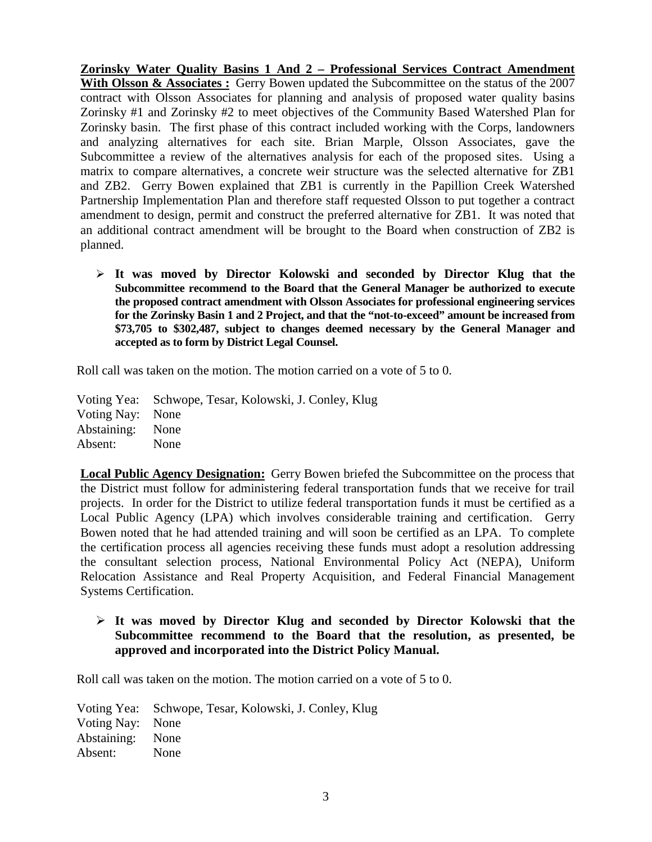**Zorinsky Water Quality Basins 1 And 2 – Professional Services Contract Amendment**  With Olsson & Associates : Gerry Bowen updated the Subcommittee on the status of the 2007 contract with Olsson Associates for planning and analysis of proposed water quality basins Zorinsky #1 and Zorinsky #2 to meet objectives of the Community Based Watershed Plan for Zorinsky basin. The first phase of this contract included working with the Corps, landowners and analyzing alternatives for each site. Brian Marple, Olsson Associates, gave the Subcommittee a review of the alternatives analysis for each of the proposed sites. Using a matrix to compare alternatives, a concrete weir structure was the selected alternative for ZB1 and ZB2. Gerry Bowen explained that ZB1 is currently in the Papillion Creek Watershed Partnership Implementation Plan and therefore staff requested Olsson to put together a contract amendment to design, permit and construct the preferred alternative for ZB1. It was noted that an additional contract amendment will be brought to the Board when construction of ZB2 is planned.

 **It was moved by Director Kolowski and seconded by Director Klug that the Subcommittee recommend to the Board that the General Manager be authorized to execute the proposed contract amendment with Olsson Associates for professional engineering services for the Zorinsky Basin 1 and 2 Project, and that the "not-to-exceed" amount be increased from \$73,705 to \$302,487, subject to changes deemed necessary by the General Manager and accepted as to form by District Legal Counsel.**

Roll call was taken on the motion. The motion carried on a vote of 5 to 0.

Voting Yea: Schwope, Tesar, Kolowski, J. Conley, Klug Voting Nay: None Abstaining: None Absent: None

**Local Public Agency Designation:** Gerry Bowen briefed the Subcommittee on the process that the District must follow for administering federal transportation funds that we receive for trail projects. In order for the District to utilize federal transportation funds it must be certified as a Local Public Agency (LPA) which involves considerable training and certification. Gerry Bowen noted that he had attended training and will soon be certified as an LPA. To complete the certification process all agencies receiving these funds must adopt a resolution addressing the consultant selection process, National Environmental Policy Act (NEPA), Uniform Relocation Assistance and Real Property Acquisition, and Federal Financial Management Systems Certification.

# **It was moved by Director Klug and seconded by Director Kolowski that the Subcommittee recommend to the Board that the resolution, as presented, be approved and incorporated into the District Policy Manual.**

Roll call was taken on the motion. The motion carried on a vote of 5 to 0.

Voting Yea: Schwope, Tesar, Kolowski, J. Conley, Klug Voting Nay: None Abstaining: None Absent: None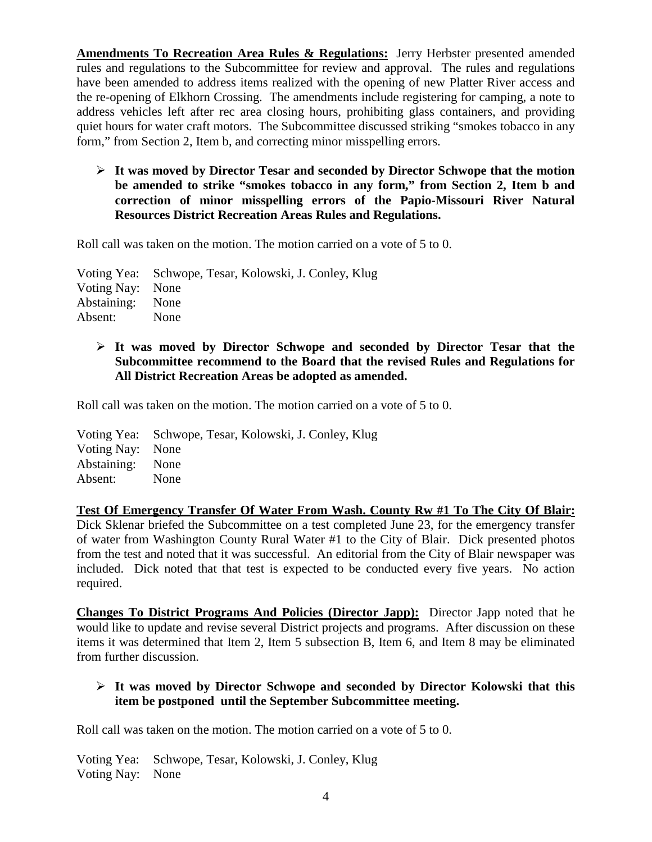**Amendments To Recreation Area Rules & Regulations:** Jerry Herbster presented amended rules and regulations to the Subcommittee for review and approval. The rules and regulations have been amended to address items realized with the opening of new Platter River access and the re-opening of Elkhorn Crossing. The amendments include registering for camping, a note to address vehicles left after rec area closing hours, prohibiting glass containers, and providing quiet hours for water craft motors. The Subcommittee discussed striking "smokes tobacco in any form," from Section 2, Item b, and correcting minor misspelling errors.

 **It was moved by Director Tesar and seconded by Director Schwope that the motion be amended to strike "smokes tobacco in any form," from Section 2, Item b and correction of minor misspelling errors of the Papio-Missouri River Natural Resources District Recreation Areas Rules and Regulations.** 

Roll call was taken on the motion. The motion carried on a vote of 5 to 0.

Voting Yea: Schwope, Tesar, Kolowski, J. Conley, Klug Voting Nay: None Abstaining: None Absent: None

# **It was moved by Director Schwope and seconded by Director Tesar that the Subcommittee recommend to the Board that the revised Rules and Regulations for All District Recreation Areas be adopted as amended.**

Roll call was taken on the motion. The motion carried on a vote of 5 to 0.

Voting Yea: Schwope, Tesar, Kolowski, J. Conley, Klug Voting Nay: None Abstaining: None Absent: None

**Test Of Emergency Transfer Of Water From Wash. County Rw #1 To The City Of Blair:** Dick Sklenar briefed the Subcommittee on a test completed June 23, for the emergency transfer of water from Washington County Rural Water #1 to the City of Blair. Dick presented photos from the test and noted that it was successful. An editorial from the City of Blair newspaper was included. Dick noted that that test is expected to be conducted every five years. No action required.

**Changes To District Programs And Policies (Director Japp):** Director Japp noted that he would like to update and revise several District projects and programs. After discussion on these items it was determined that Item 2, Item 5 subsection B, Item 6, and Item 8 may be eliminated from further discussion.

# **It was moved by Director Schwope and seconded by Director Kolowski that this item be postponed until the September Subcommittee meeting.**

Roll call was taken on the motion. The motion carried on a vote of 5 to 0.

Voting Yea: Schwope, Tesar, Kolowski, J. Conley, Klug Voting Nay: None